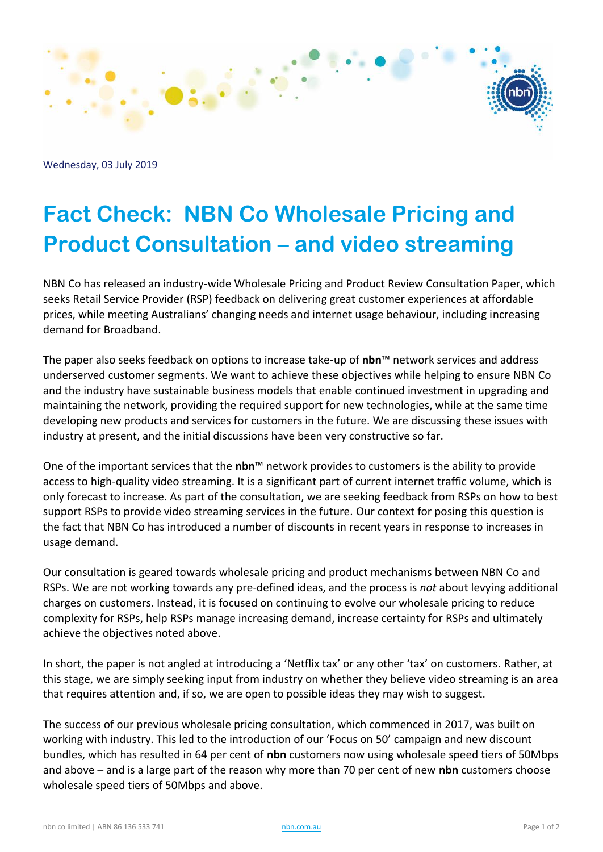

Wednesday, 03 July 2019

## **Fact Check: NBN Co Wholesale Pricing and Product Consultation – and video streaming**

NBN Co has released an industry-wide Wholesale Pricing and Product Review Consultation Paper, which seeks Retail Service Provider (RSP) feedback on delivering great customer experiences at affordable prices, while meeting Australians' changing needs and internet usage behaviour, including increasing demand for Broadband.

The paper also seeks feedback on options to increase take-up of **nbn**™ network services and address underserved customer segments. We want to achieve these objectives while helping to ensure NBN Co and the industry have sustainable business models that enable continued investment in upgrading and maintaining the network, providing the required support for new technologies, while at the same time developing new products and services for customers in the future. We are discussing these issues with industry at present, and the initial discussions have been very constructive so far.

One of the important services that the **nbn**™ network provides to customers is the ability to provide access to high-quality video streaming. It is a significant part of current internet traffic volume, which is only forecast to increase. As part of the consultation, we are seeking feedback from RSPs on how to best support RSPs to provide video streaming services in the future. Our context for posing this question is the fact that NBN Co has introduced a number of discounts in recent years in response to increases in usage demand.

Our consultation is geared towards wholesale pricing and product mechanisms between NBN Co and RSPs. We are not working towards any pre-defined ideas, and the process is *not* about levying additional charges on customers. Instead, it is focused on continuing to evolve our wholesale pricing to reduce complexity for RSPs, help RSPs manage increasing demand, increase certainty for RSPs and ultimately achieve the objectives noted above.

In short, the paper is not angled at introducing a 'Netflix tax' or any other 'tax' on customers*.* Rather, at this stage, we are simply seeking input from industry on whether they believe video streaming is an area that requires attention and, if so, we are open to possible ideas they may wish to suggest.

The success of our previous wholesale pricing consultation, which commenced in 2017, was built on working with industry. This led to the introduction of our 'Focus on 50' campaign and new discount bundles, which has resulted in 64 per cent of **nbn** customers now using wholesale speed tiers of 50Mbps and above – and is a large part of the reason why more than 70 per cent of new **nbn** customers choose wholesale speed tiers of 50Mbps and above.